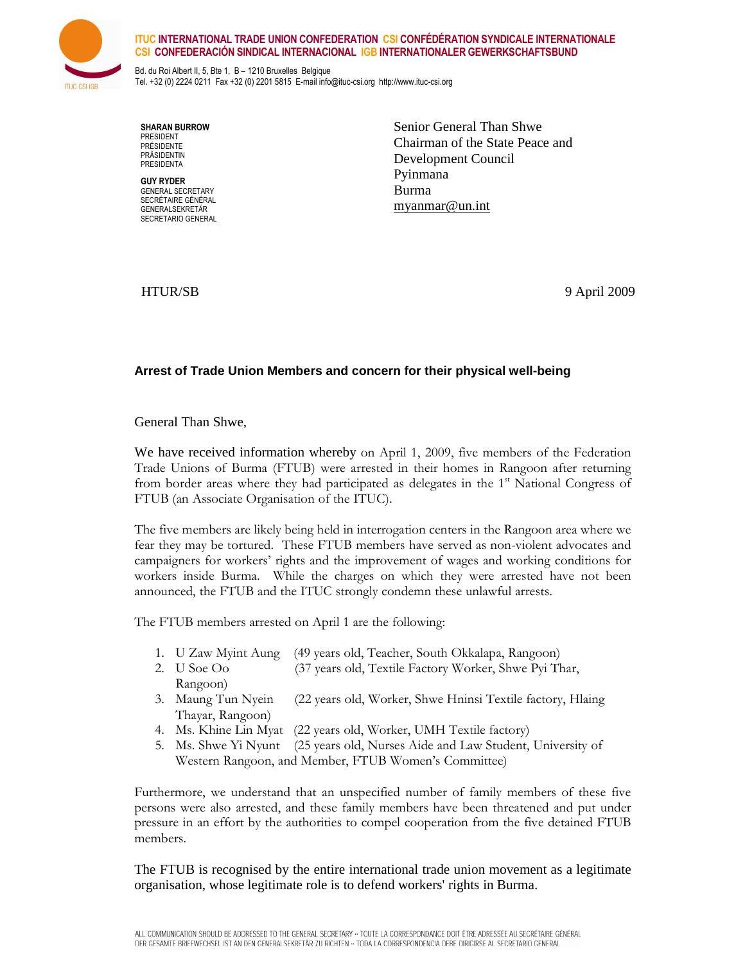

## ITUC INTERNATIONAL TRADE UNION CONFEDERATION CSI CONFÉDÉRATION SYNDICALE INTERNATIONALE CSI CONFEDERACIÓN SINDICAL INTERNACIONAL IGB INTERNATIONALER GEWERKSCHAFTSBUND

Bd. du Roi Albert II, 5, Bte 1, B – 1210 Bruxelles Belgique Tel. +32 (0) 2224 0211 Fax +32 (0) 2201 5815 E-mail info@ituc-csi.org http://www.ituc-csi.org

SHARAN BURROW PRESIDENT PRÉSIDENTE **PRÄSIDENTIN** PRESIDENTA

GUY RYDER GENERAL SECRETARY SECRÉTAIRE GÉNÉRAL GENERALSEKRETÄR SECRETARIO GENERAL

Senior General Than Shwe Chairman of the State Peace and Development Council Pyinmana Burma myanmar@un.int

HTUR/SB 9 April 2009

## **Arrest of Trade Union Members and concern for their physical well-being**

General Than Shwe,

We have received information whereby on April 1, 2009, five members of the Federation Trade Unions of Burma (FTUB) were arrested in their homes in Rangoon after returning from border areas where they had participated as delegates in the  $1<sup>st</sup>$  National Congress of FTUB (an Associate Organisation of the ITUC).

The five members are likely being held in interrogation centers in the Rangoon area where we fear they may be tortured. These FTUB members have served as non-violent advocates and campaigners for workers' rights and the improvement of wages and working conditions for workers inside Burma. While the charges on which they were arrested have not been announced, the FTUB and the ITUC strongly condemn these unlawful arrests.

The FTUB members arrested on April 1 are the following:

- 1. U Zaw Myint Aung (49 years old, Teacher, South Okkalapa, Rangoon)
- 2. U Soe Oo (37 years old, Textile Factory Worker, Shwe Pyi Thar, Rangoon)
- 3. Maung Tun Nyein (22 years old, Worker, Shwe Hninsi Textile factory, Hlaing Thayar, Rangoon)
- 4. Ms. Khine Lin Myat (22 years old, Worker, UMH Textile factory)
- 5. Ms. Shwe Yi Nyunt (25 years old, Nurses Aide and Law Student, University of Western Rangoon, and Member, FTUB Women's Committee)

Furthermore, we understand that an unspecified number of family members of these five persons were also arrested, and these family members have been threatened and put under pressure in an effort by the authorities to compel cooperation from the five detained FTUB members.

The FTUB is recognised by the entire international trade union movement as a legitimate organisation, whose legitimate role is to defend workers' rights in Burma.